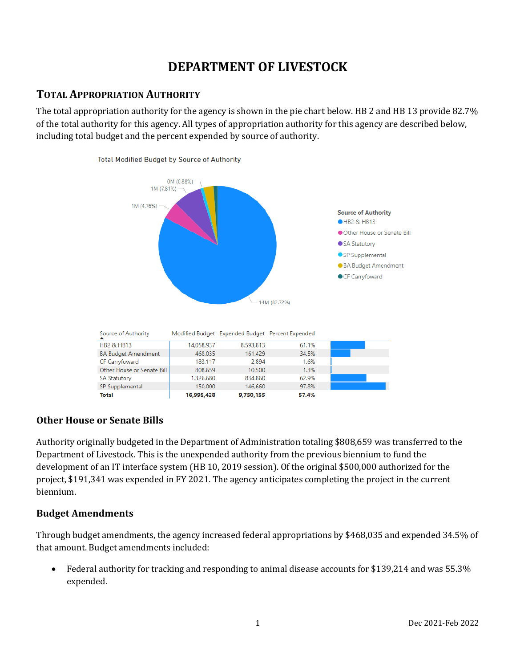# **DEPARTMENT OF LIVESTOCK**

### **TOTAL APPROPRIATION AUTHORITY**

The total appropriation authority for the agency is shown in the pie chart below. HB 2 and HB 13 provide 82.7% of the total authority for this agency. All types of appropriation authority for this agency are described below, including total budget and the percent expended by source of authority.



### **Other House or Senate Bills**

Authority originally budgeted in the Department of Administration totaling \$808,659 was transferred to the Department of Livestock. This is the unexpended authority from the previous biennium to fund the development of an IT interface system (HB 10, 2019 session). Of the original \$500,000 authorized for the project, \$191,341 was expended in FY 2021. The agency anticipates completing the project in the current biennium.

### **Budget Amendments**

Through budget amendments, the agency increased federal appropriations by \$468,035 and expended 34.5% of that amount. Budget amendments included:

• Federal authority for tracking and responding to animal disease accounts for \$139,214 and was 55.3% expended.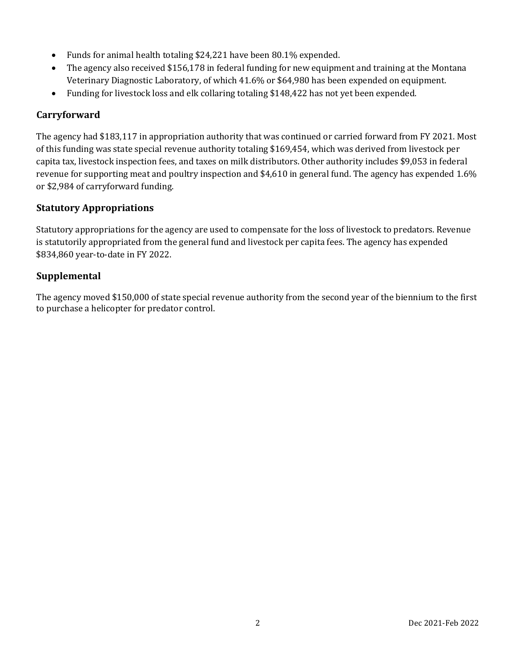- Funds for animal health totaling \$24,221 have been 80.1% expended.
- The agency also received \$156,178 in federal funding for new equipment and training at the Montana Veterinary Diagnostic Laboratory, of which 41.6% or \$64,980 has been expended on equipment.
- Funding for livestock loss and elk collaring totaling \$148,422 has not yet been expended.

### **Carryforward**

The agency had \$183,117 in appropriation authority that was continued or carried forward from FY 2021. Most of this funding was state special revenue authority totaling \$169,454, which was derived from livestock per capita tax, livestock inspection fees, and taxes on milk distributors. Other authority includes \$9,053 in federal revenue for supporting meat and poultry inspection and \$4,610 in general fund. The agency has expended 1.6% or \$2,984 of carryforward funding.

### **Statutory Appropriations**

Statutory appropriations for the agency are used to compensate for the loss of livestock to predators. Revenue is statutorily appropriated from the general fund and livestock per capita fees. The agency has expended \$834,860 year-to-date in FY 2022.

### **Supplemental**

The agency moved \$150,000 of state special revenue authority from the second year of the biennium to the first to purchase a helicopter for predator control.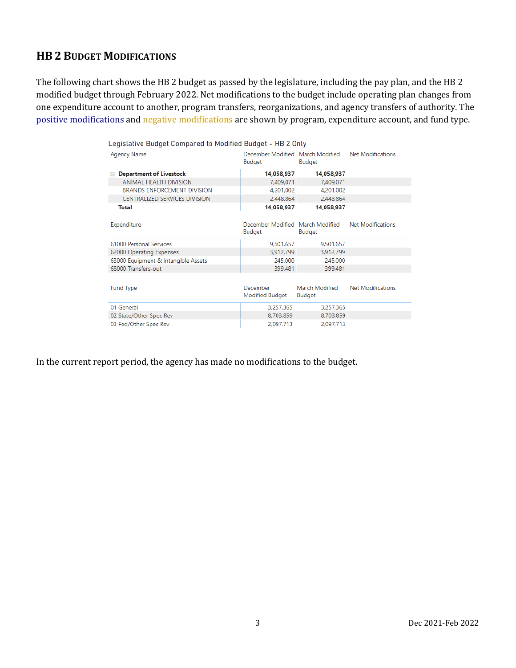## **HB 2 BUDGET MODIFICATIONS**

The following chart shows the HB 2 budget as passed by the legislature, including the pay plan, and the HB 2 modified budget through February 2022. Net modifications to the budget include operating plan changes from one expenditure account to another, program transfers, reorganizations, and agency transfers of authority. The positive modifications and negative modifications are shown by program, expenditure account, and fund type.

| Legislative Budget Compared to Modified Budget - HB 2 Only |                                            |                                 |                          |  |  |  |  |  |
|------------------------------------------------------------|--------------------------------------------|---------------------------------|--------------------------|--|--|--|--|--|
| Agency Name                                                | December Modified March Modified<br>Budget | Budget                          | <b>Net Modifications</b> |  |  |  |  |  |
| <b>Department of Livestock</b><br>日                        | 14,058,937                                 | 14,058,937                      |                          |  |  |  |  |  |
| ANIMAL HEALTH DIVISION                                     | 7,409,071                                  | 7,409,071                       |                          |  |  |  |  |  |
| <b>BRANDS ENFORCEMENT DIVISION</b>                         | 4.201.002                                  | 4.201.002                       |                          |  |  |  |  |  |
| CENTRALIZED SERVICES DIVISION                              | 2,448,864                                  | 2,448,864                       |                          |  |  |  |  |  |
| Total                                                      | 14,058,937                                 | 14,058,937                      |                          |  |  |  |  |  |
| Expenditure                                                | December Modified March Modified<br>Budget | Budget                          | <b>Net Modifications</b> |  |  |  |  |  |
| 61000 Personal Services                                    | 9.501.657                                  | 9.501.657                       |                          |  |  |  |  |  |
| 62000 Operating Expenses                                   | 3,912,799                                  | 3,912,799                       |                          |  |  |  |  |  |
| 63000 Equipment & Intangible Assets                        | 245,000                                    | 245,000                         |                          |  |  |  |  |  |
| 68000 Transfers-out                                        | 399.481                                    | 399.481                         |                          |  |  |  |  |  |
|                                                            |                                            |                                 |                          |  |  |  |  |  |
| Fund Type                                                  | December<br>Modified Budget                | March Modified<br><b>Budget</b> | <b>Net Modifications</b> |  |  |  |  |  |
| 01 General                                                 | 3,257,365                                  | 3,257,365                       |                          |  |  |  |  |  |
| 02 State/Other Spec Rev                                    | 8,703,859                                  | 8,703,859                       |                          |  |  |  |  |  |
| 03 Fed/Other Spec Rev                                      | 2.097.713                                  | 2.097.713                       |                          |  |  |  |  |  |

In the current report period, the agency has made no modifications to the budget.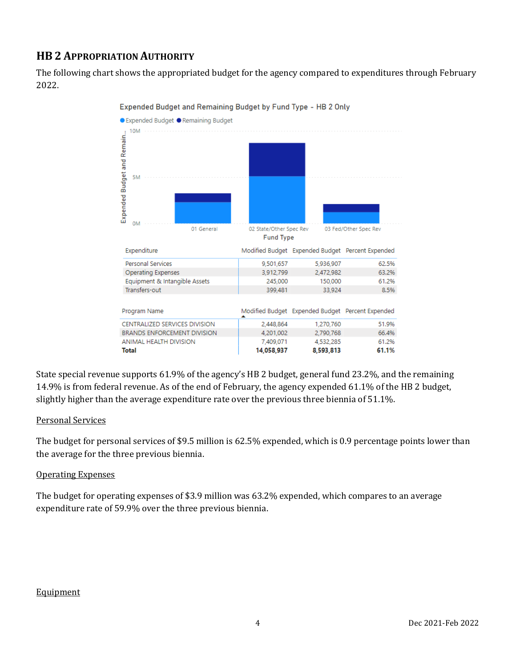# **HB 2 APPROPRIATION AUTHORITY**

The following chart shows the appropriated budget for the agency compared to expenditures through February 2022.



Expended Budget and Remaining Budget by Fund Type - HB 2 Only

State special revenue supports 61.9% of the agency's HB 2 budget, general fund 23.2%, and the remaining 14.9% is from federal revenue. As of the end of February, the agency expended 61.1% of the HB 2 budget, slightly higher than the average expenditure rate over the previous three biennia of 51.1%.

#### Personal Services

The budget for personal services of \$9.5 million is 62.5% expended, which is 0.9 percentage points lower than the average for the three previous biennia.

#### Operating Expenses

The budget for operating expenses of \$3.9 million was 63.2% expended, which compares to an average expenditure rate of 59.9% over the three previous biennia.

### **Equipment**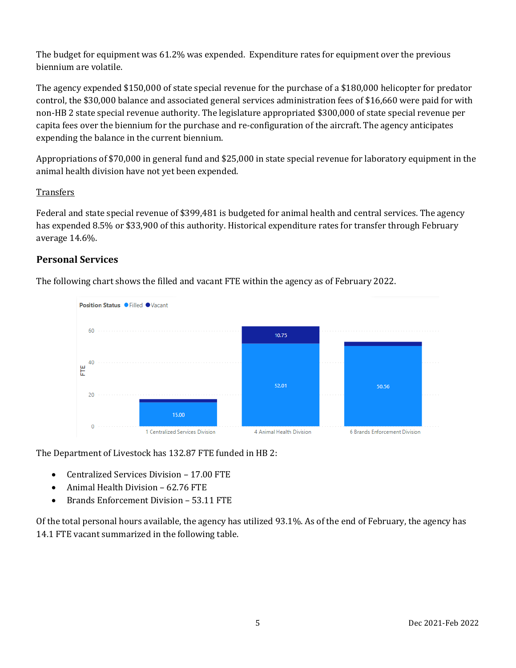The budget for equipment was 61.2% was expended. Expenditure rates for equipment over the previous biennium are volatile.

The agency expended \$150,000 of state special revenue for the purchase of a \$180,000 helicopter for predator control, the \$30,000 balance and associated general services administration fees of \$16,660 were paid for with non-HB 2 state special revenue authority. The legislature appropriated \$300,000 of state special revenue per capita fees over the biennium for the purchase and re-configuration of the aircraft. The agency anticipates expending the balance in the current biennium.

Appropriations of \$70,000 in general fund and \$25,000 in state special revenue for laboratory equipment in the animal health division have not yet been expended.

#### **Transfers**

Federal and state special revenue of \$399,481 is budgeted for animal health and central services. The agency has expended 8.5% or \$33,900 of this authority. Historical expenditure rates for transfer through February average 14.6%.

### **Personal Services**

The following chart shows the filled and vacant FTE within the agency as of February 2022.



The Department of Livestock has 132.87 FTE funded in HB 2:

- Centralized Services Division 17.00 FTE
- Animal Health Division 62.76 FTE
- Brands Enforcement Division 53.11 FTE

Of the total personal hours available, the agency has utilized 93.1%. As of the end of February, the agency has 14.1 FTE vacant summarized in the following table.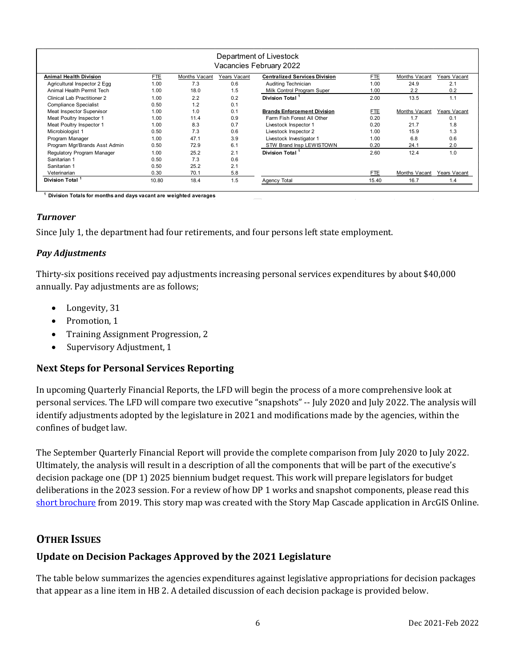| Department of Livestock<br>Vacancies February 2022 |            |                      |              |                                      |       |               |              |  |  |
|----------------------------------------------------|------------|----------------------|--------------|--------------------------------------|-------|---------------|--------------|--|--|
| <b>Animal Health Division</b>                      | <b>FTE</b> | <b>Months Vacant</b> | Years Vacant | <b>Centralized Services Division</b> | FTE.  | Months Vacant | Years Vacant |  |  |
| Agricultural Inspector 2 Egg                       | 1.00       | 7.3                  | 0.6          | Auditing Technician                  | 1.00  | 24.9          | 2.1          |  |  |
| Animal Health Permit Tech                          | 1.00       | 18.0                 | 1.5          | Milk Control Program Super           | 1.00  | 2.2           | 0.2          |  |  |
| Clinical Lab Practitioner 2                        | 1.00       | 2.2                  | 0.2          | Division Total <sup>1</sup>          | 2.00  | 13.5          | 1.1          |  |  |
| <b>Compliance Specialist</b>                       | 0.50       | 1.2                  | 0.1          |                                      |       |               |              |  |  |
| Meat Inspector Supervisor                          | 1.00       | 1.0                  | 0.1          | <b>Brands Enforcement Division</b>   | FTE.  | Months Vacant | Years Vacant |  |  |
| Meat Poultry Inspector 1                           | 1.00       | 11.4                 | 0.9          | Farm Fish Forest All Other           | 0.20  | 1.7           | 0.1          |  |  |
| Meat Poultry Inspector 1                           | 1.00       | 8.3                  | 0.7          | Livestock Inspector 1                | 0.20  | 21.7          | 1.8          |  |  |
| Microbiologist 1                                   | 0.50       | 7.3                  | 0.6          | Livestock Inspector 2                | 1.00  | 15.9          | 1.3          |  |  |
| Program Manager                                    | 1.00       | 47.1                 | 3.9          | Livestock Investigator 1             | 1.00  | 6.8           | 0.6          |  |  |
| Program Mgr/Brands Asst Admin                      | 0.50       | 72.9                 | 6.1          | STW Brand Insp LEWISTOWN             | 0.20  | 24.1          | 2.0          |  |  |
| Regulatory Program Manager                         | 1.00       | 25.2                 | 2.1          | Division Total                       | 2.60  | 12.4          | 1.0          |  |  |
| Sanitarian 1                                       | 0.50       | 7.3                  | 0.6          |                                      |       |               |              |  |  |
| Sanitarian 1                                       | 0.50       | 25.2                 | 2.1          |                                      |       |               |              |  |  |
| Veterinarian                                       | 0.30       | 70.1                 | 5.8          |                                      | FTE.  | Months Vacant | Years Vacant |  |  |
| Division Total                                     | 10.80      | 18.4                 | 1.5          | Agency Total                         | 15.40 | 16.7          | 1.4          |  |  |
|                                                    |            |                      |              |                                      |       |               |              |  |  |

**1 Division Totals for months and days vacant are weighted averages** 

#### *Turnover*

Since July 1, the department had four retirements, and four persons left state employment.

#### *Pay Adjustments*

Thirty-six positions received pay adjustments increasing personal services expenditures by about \$40,000 annually. Pay adjustments are as follows;

- Longevity, 31
- Promotion, 1
- Training Assignment Progression, 2
- Supervisory Adjustment, 1

#### **Next Steps for Personal Services Reporting**

In upcoming Quarterly Financial Reports, the LFD will begin the process of a more comprehensive look at personal services. The LFD will compare two executive "snapshots" -- July 2020 and July 2022. The analysis will identify adjustments adopted by the legislature in 2021 and modifications made by the agencies, within the confines of budget law.

The September Quarterly Financial Report will provide the complete comparison from July 2020 to July 2022. Ultimately, the analysis will result in a description of all the components that will be part of the executive's decision package one (DP 1) 2025 biennium budget request. This work will prepare legislators for budget deliberations in the 2023 session. For a review of how DP 1 works and snapshot components, please read this [short brochure](https://montana.maps.arcgis.com/apps/Cascade/index.html?appid=23095fcf15754f4fb38b63c58a884b97) from 2019. This story map was created with the Story Map Cascade application in ArcGIS Online.

### **OTHER ISSUES**

### **Update on Decision Packages Approved by the 2021 Legislature**

The table below summarizes the agencies expenditures against legislative appropriations for decision packages that appear as a line item in HB 2. A detailed discussion of each decision package is provided below.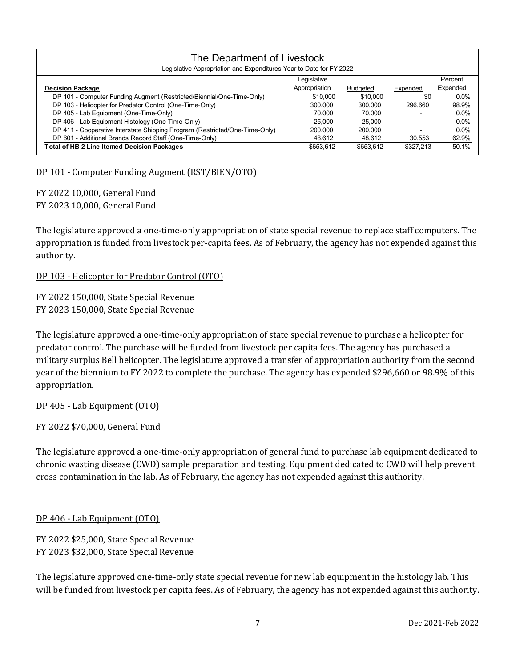| The Department of Livestock<br>Legislative Appropriation and Expenditures Year to Date for FY 2022 |               |                 |           |          |  |  |  |  |  |
|----------------------------------------------------------------------------------------------------|---------------|-----------------|-----------|----------|--|--|--|--|--|
| Legislative                                                                                        |               |                 |           | Percent  |  |  |  |  |  |
| <b>Decision Package</b>                                                                            | Appropriation | <b>Budgeted</b> | Expended  | Expended |  |  |  |  |  |
| DP 101 - Computer Funding Augment (Restricted/Biennial/One-Time-Only)                              | \$10,000      | \$10,000        | \$0       | $0.0\%$  |  |  |  |  |  |
| DP 103 - Helicopter for Predator Control (One-Time-Only)                                           | 300.000       | 300.000         | 296.660   | 98.9%    |  |  |  |  |  |
| DP 405 - Lab Equipment (One-Time-Only)                                                             | 70.000        | 70.000          |           | 0.0%     |  |  |  |  |  |
| DP 406 - Lab Equipment Histology (One-Time-Only)                                                   | 25.000        | 25.000          |           | 0.0%     |  |  |  |  |  |
| DP 411 - Cooperative Interstate Shipping Program (Restricted/One-Time-Only)                        | 200,000       | 200.000         |           | 0.0%     |  |  |  |  |  |
| DP 601 - Additional Brands Record Staff (One-Time-Only)                                            | 48.612        | 48.612          | 30.553    | 62.9%    |  |  |  |  |  |
| <b>Total of HB 2 Line Itemed Decision Packages</b>                                                 | \$653.612     | \$653.612       | \$327.213 | 50.1%    |  |  |  |  |  |

#### DP 101 - Computer Funding Augment (RST/BIEN/OTO)

FY 2022 10,000, General Fund FY 2023 10,000, General Fund

The legislature approved a one-time-only appropriation of state special revenue to replace staff computers. The appropriation is funded from livestock per-capita fees. As of February, the agency has not expended against this authority.

#### DP 103 - Helicopter for Predator Control (OTO)

FY 2022 150,000, State Special Revenue FY 2023 150,000, State Special Revenue

The legislature approved a one-time-only appropriation of state special revenue to purchase a helicopter for predator control. The purchase will be funded from livestock per capita fees. The agency has purchased a military surplus Bell helicopter. The legislature approved a transfer of appropriation authority from the second year of the biennium to FY 2022 to complete the purchase. The agency has expended \$296,660 or 98.9% of this appropriation.

#### DP 405 - Lab Equipment (OTO)

FY 2022 \$70,000, General Fund

The legislature approved a one-time-only appropriation of general fund to purchase lab equipment dedicated to chronic wasting disease (CWD) sample preparation and testing. Equipment dedicated to CWD will help prevent cross contamination in the lab. As of February, the agency has not expended against this authority.

#### DP 406 - Lab Equipment (OTO)

FY 2022 \$25,000, State Special Revenue FY 2023 \$32,000, State Special Revenue

The legislature approved one-time-only state special revenue for new lab equipment in the histology lab. This will be funded from livestock per capita fees. As of February, the agency has not expended against this authority.